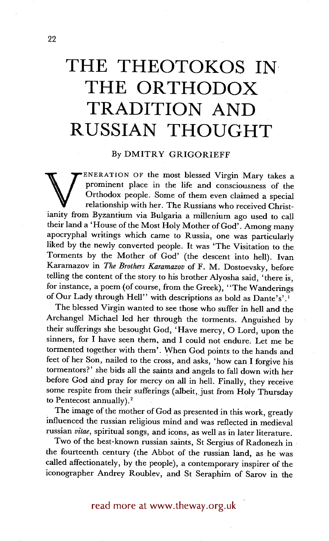## **THE THEOTOKOS IN THE ORTHODOX TRADITION AND RUSSIAN THOUGHT**

## By DMITRY GRIGORIEFF

prominent place in the life and consciousness of the<br>
Orthodox people. Some of them even claimed a special<br>
relationship with her. The Russians who received Christianity<br>
from Byzantium via Bulgaria a millenium ago used to ENERATION OF the most blessed Virgin Mary takes a prominent place in the life and consciousness of the Orthodox people. Some of them even claimed a special relationship with her. The Russians who received Christtheir land a 'House of the Most Holy Mother of God'. Among many apocryphal writings which came to Russia, one was particularly liked by the newly converted people. It was 'The Visitation to the Torments by the Mother of God' (the descent into hell). Ivan Karamazov in *The Brothers Karamazov* of F. M. Dostoevsky, before telling the content of the story to his brother Alyosha said, 'there is, for instance, a poem (of course, from the Greek), "The Wanderings of Our Lady through Hell" with descriptions as bold as Dante's'.<sup>1</sup>

The blessed Virgin wanted to see those who suffer in hell and the Archangel Michael led her through the torments. Anguished by their sufferings she besought God, 'Have mercy, O Lord, upon the sinners, for I have seen them, and I could not endure. Let me be tormented together with them'. When God points to the hands and feet of her Son, nailed to the cross, and asks, 'how can I forgive his tormentors?' she bids all the saints and angels to fall down with her before God and pray for mercy on all in hell. Finally, they receive some respite from their sufferings (albeit, just from Holy Thursday to Pentecost annually).<sup>2</sup>

The image of the mother of God as presented in this work, greatly influenced the russian religious mind and was reflected in medieval russian *vitae,* spiritual songs, and icons, as well as in later literature.

Two of the best-known russian saints, St Sergius of Radonezh in the fourteenth century (the Abbot of the russian land, as he was called affectionately, by the people), a contemporary inspirer of the iconographer Andrey Roublev, and St Seraphim of Sarov in the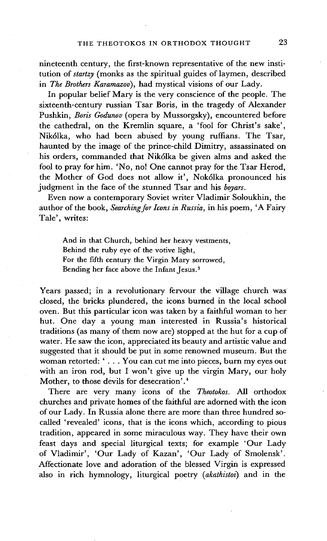nineteenth century, the first-known representative of the new institution of *startzy* (monks as the spiritual guides of laymen, described in *The Brothers Karamazov),* had mystical visions of our Lady.

In popular belief Mary is the very conscience of the people. The sixteenth-century russian Tsar Boris, in the tragedy of Alexander Pushkin, *Boris Godunov* (opera by Mussorgsky), encountered before the cathedral, on the Kremlin square, a 'fool for Christ's sake', Nik61ka, who had been abused by young ruffians. The Tsar, haunted by the image of the prince-child Dimitry, assassinated on his orders, commanded that Nik61ka be given alms and asked the fool to pray for him. 'No, no! One cannot pray for the Tsar Herod, the Mother of God does not allow it', Nok61ka pronounced his judgment in the face of the stunned Tsar and his *boyars.* 

Even now a contemporary Soviet writer Vladimir Soloukhin, the author of the book, *Searching.for Icons in Russia,* in his poem, 'A Fairy Tale', writes:

And in that Church, behind her heavy vestments, Behind the ruby eye of the votive light, For the fifth century the Virgin Mary sorrowed, Bending her face above the Infant Jesus. 3

Years passed; in a revolutionary fervour the village church was closed, the bricks plundered, the icons burned in the local school oven. But this particular icon was taken by a faithful woman to her hut. One day a young man interested in Russia's historical traditions (as many of them now are) stopped at the hut for a cup of water. He saw the icon, appreciated its beauty and artistic value and suggested that it should be put in some renowned museum. But the woman retorted: ' . . . You can cut me into pieces, burn my eyes out with an iron rod, but I won't give up the virgin Mary, our holy Mother, to those devils for desecration'.<sup>4</sup>

There are very many icons of the *Theotokos.* All orthodox churches and private homes of the faithful are adorned with the icon of our Lady. In Russia alone there are more than three hundred socalled 'revealed' icons, that is the icons which, according to pious tradition, appeared in some miraculous way. They have their own feast days and special liturgical texts; for example 'Our Lady of Vladimir', 'Our Lady of Kazan', 'Our Lady of Smolensk'. Affectionate love and adoration of the blessed Virgin is expressed also in rich hymnology, liturgical poetry *(akathistoi)* and in the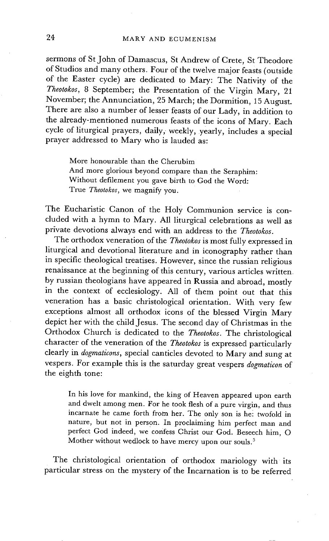sermons of St John of Damascus, St Andrew of Crete, St Theodore of Studios and many others. Four of the twelve maior feasts (outside of the Easter cycle) are dedicated to Mary: The Nativity of the *Theotokos,* 8 September; the Presentation of the Virgin Mary, 21 November; the Annunciation, 25 March; the Dormition, 15 August. There are also a number of lesser feasts of our Lady, in addition to the already-mentioned numerous feasts of the icons of Mary. Each cycle of liturgical prayers, daily, weekly, yearly, includes a special prayer addressed to Mary who is lauded as:

More honourable than the Cherubim And more glorious beyond compare than the Seraphim: Without defilement you gave birth to God the Word: True *Theotokos,* we magnify you.

The Eucharistic Canon of the Holy Communion service is concluded with a hymn to Mary. All liturgical celebrations as well as private devotions always end with an address to the *Theotokos.* 

The orthodox veneration of the *Theotokos* is most fully expressed in liturgical and devotional literature and in iconography rather than in specific theological treatises. However, since the russian religious renaissance at the beginning of this century, various articles written by russian theologians have appeared in Russia and abroad, mostly in the context of ecclesiology. All of them point out that this veneration has a basic christological orientation. With very few exceptions almost all orthodox icons of the blessed Virgin Mary depict her with the child Jesus. The second day of Christmas in the Orthodox Church is dedicated to the *Theotokos.* The christological character of the veneration of the *Theotokos* is expressed particularly clearly in *dogmaticons,* special canticles devoted to Mary and sung at vespers. For example this is the saturday great vespers *dogmaticon* of the eighth tone:

In his love for mankind, the king of Heaven appeared upon earth and dwelt among men. For he took flesh of a pure virgin, and thus incarnate he came forth from her. The only son is he: twofold in nature, but not in person. In proclaiming him perfect man and perfect God indeed, we confess Christ our God. Beseech him, O Mother without wedlock to have mercy upon our souls.<sup>5</sup>

The christological orientation of orthodox mariology with its particular stress on the mystery of the Incarnation is to be referred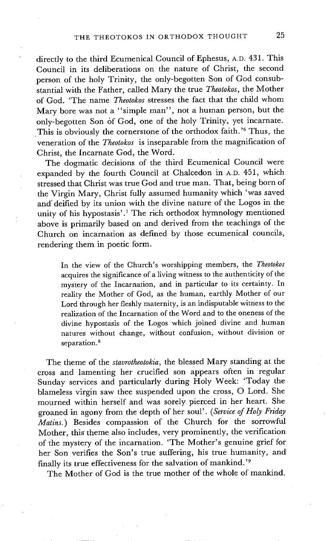directly to the third Ecumenical Council of Ephesus, A.D. 431. This Council in its deliberations on the nature of Christ, the second person of the holy Trinity, the only-begotten Son of God consubstantial with the Father, called Mary the true *Theotokos,* the Mother of God. 'The name *Theotokos* stresses the fact that the child whom Mary bore was not a "simple man", not a human person, but the only-begotten Son of God, one of the holy Trinity, yet incarnate. This is obviously the cornerstone of the orthodox faith.'<sup>6</sup> Thus, the veneration of the *Theotokos* is inseparable from the magnification of Christ, the Incarnate God, the Word.

The dogmatic decisions of the third Ecumenical Council were expanded by the fourth Council at Chalcedon in A.D. 451, which stressed that Christ was true God and true man. That, being born of the Virgin Mary, Christ fully assumed humanity which 'was saved and deified by its union with the divine nature of the Logos in the unity of his hypostasis'.<sup>7</sup> The rich orthodox hymnology mentioned above is primarily based on and derived from the teachings of the Church on incarnation as defined by those ecumenical councils, rendering them in poetic form.

In the view of the Church's worshipping members, the *Theotokos*  acquires the significance of a living witness to the authenticity of the mystery of the Incarnation, and in particular to its certainty. In reality the Mother of God, as the human, earthly Mother of our Lord through her fleshly maternity, is an indisputable witness to the realization of the Incarnation of the Word and to the oneness of the divine hypostasis of the Logos which joined divine and human natures without change, without confusion, without division or separation.<sup>8</sup>

The theme of the *stavrotheotokia,* the blessed Mary standing at the cross and lamenting her crucified son appears often in regular Sunday services and particularly during Holy Week: 'Today the blameless virgin saw thee suspended upon the cross, O Lord. She mourned within herself and was sorely pierced in her heart. She groaned in agony from the depth of her soul'. *(Service of Holy Friday Matins.)* Besides compassion of the Church for the sorrowful Mother, this' theme also includes, very prominently, the verification of the mystery of the incarnation. 'The Mother's genuine grief for her Son verifies the Son's true suffering, his true humanity, and finally its true effectiveness for the salvation of mankind.'<sup>9</sup>

The Mother of God is the true mother of the whole of mankind.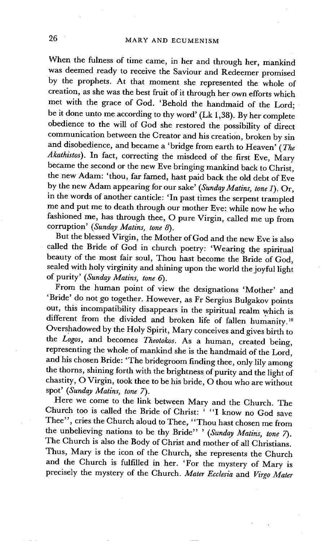When the fulness of time came, in her and through her, mankind was deemed ready to receive the Saviour and Redeemer promised by the prophets. At that moment she represented the whole of creation, as she was the best fruit of it through her own efforts which met with the grace of God. 'Behold the handmaid of the Lord; be it done unto me according to thy word' (Lk 1,38). By her complete obedience to the will of God she restored the possibility of direct communication between the Creator and his creation, broken by sin and disobedience, and became a 'bridge from earth to Heaven' (The *Akathistos).* In fact, correcting the misdeed of the first Eve, Mary became the second or the new Eve bringing mankind back to Christ, the new Adam: 'thou, far famed, hast paid back the old debt of Eve by the new Adam appearing for our sake' *(Sunday Matins, tone 1).* Or, in the words of another canticle: 'In past times the serpent trampled me and put me to death through our mother Eve: while now he who fashioned me, has through thee, O pure Virgin, called me up from corruption' *(Sunday Matins, tone 8).* 

But the blessed Virgin, the Mother of God and the new Eve is also called the Bride of God in church poetry: 'Wearing the spiritual beauty of the most fair soul, Thou hast become the Bride of God, sealed with holy virginity and shining upon the world the joyful light of purity' *(Sunday Matins, tone 6).* 

From the human point of view the designations 'Mother' and 'Bride' do not go together. However, as Fr Sergius Bulgakov points out, this incompatibility disappears in the spiritual realm which is different from the divided and broken life of fallen humanity.<sup>10</sup> Overshadowed by the Holy Spirit, Mary conceives and gives birth to the *Logos,* and becomes *Theotokos.* As a human, created being, representing the whole of mankind she is the handmaid of the Lord, and his chosen Bride: 'The bridegroom finding thee, only lily among the thorns, shining forth with the brightness of purity and the light of chastity, O Virgin, took thee to be his bride, O thou who are without spot' *(Sunday Matins, tone 7).* 

Here we come to the link between Mary and the Church. The Church too is called the Bride of Christ: ' "I know no God save Thee", cries the Church aloud to Thee, "Thou hast chosen me from the unbelieving nations to be thy Bride" ' *(Sunday Matins, tone 7)*. The Church is also the Body of Christ and mother of all Christians. Thus, Mary is the icon of the Church, she represents the Church and the Church is fulfilled in her. 'For the mystery of Mary is precisely the mystery of the Church. *Mater Ecclesia* and *Virgo Mater*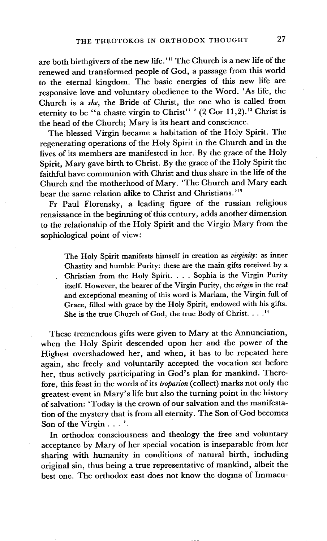are both birthgivers of the new life.'<sup>11</sup> The Church is a new life of the renewed and transformed people of God, a passage from this world to the eternal kingdom. The basic energies of this new life are responsive love and voluntary obedience to the Word. 'As life, the ChurCh is a *she,* the Bride of Christ, the one who is called from eternity to be "a chaste virgin to Christ" ' (2 Cor 11,2). 12 Christ is the head of the Church; Mary is its heart and conscience.

The blessed Virgin became a habitation of the Holy Spirit. The regenerating operations of the Holy Spirit in the Church and in the lives of its members are manifested in her. By the grace of the Holy Spirit, Mary gave birth to Christ. By the grace of the Holy Spirit the faithful have communion with Christ and thus share in the life of the Church and the motherhood of Mary. 'The Church and Mary each bear the same relation alike to Christ and Christians.'13

Fr Paul Florensky, a leading figure of the russian religious renaissance in the beginning of this century, adds another dimension to the relationship of the Holy Spirit and the Virgin Mary from the sophiological point of view:

The Holy Spirit manifests himself in creation as *virginity:* as inner Chastity and humble Purity: these are the main gifts received by a Christian from the Holy Spirit .... Sophia is the Virgin Purity itself. However, the bearer of the Virgin Purity, the *virgin* in the real and exceptional meaning of this word is Mariam, the Virgin full of Grace, filled with grace by the Holy Spirit, endowed with his gifts. She is the true Church of God, the true Body of Christ.  $\ldots$ <sup>14</sup>

These tremendous gifts were given to Mary at the Annunciation, when the Holy Spirit descended upon her and the power of the Highest overshadowed her, and when, it has to be repeated here again, she freely and voluntarily accepted the vocation set before her, thus actively participating in God's plan for mankind. Therefore, this feast in the words of its *troparion* (collect) marks not only the greatest event in Mary's life but also the turning point in the history of salvation: 'Today is the crown of our salvation and the manifestation of the mystery that is from all eternity. The Son of God becomes Son of the Virgin... '.

In orthodox consciousness and theology the free and voluntary acceptance by Mary of her special vocation is inseparable from her sharing with humanity in conditions of natural birth, including original sin, thus being a true representative of mankind, albeit the best one. The orthodox east does not know the dogma of Immacu-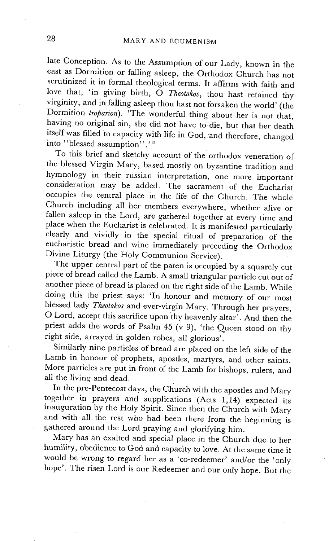late Conception. As to the Assumption of our Lady, known in the east as Dormition or falling asleep, the Orthodox Church has not scrutinized it in formal theological terms. It affirms with faith and love that, 'in giving birth, O Theotokos, thou hast retained thy virginity, and in falling asleep thou hast not forsaken the world' (the Dormition *troparion*). <sup>The</sup> wonderful thing about her is not that, having no original sin, she did not have to die, but that her death itself was filled to capacity with life in God, and therefore, changed into "blessed assumption"."<sup>15</sup>

To this brief and sketchy account of the orthodox veneration of the blessed Virgin Mary, based mostly on byzantine tradition and hymnology in their russian interpretation, one more important consideration may be added. The sacrament of the Eucharist occupies the central place in the life of the Church. The whole Church including all her members everywhere, whether alive or fallen asleep in the Lord, are gathered together at every time and place when the Eucharist is celebrated. It is manifested particularly clearly and vividly in the special ritual of preparation of the eucharistic bread and wine immediately preceding the Orthodox Divine Liturgy (the Holy Communion Service).

The upper central part of the paten is occupied by a squarely cut piece of bread called the Lamb. A small triangular particle cut out of another piece of bread is placed on the right side of the Lamb. While doing this the priest says: 'In honour and memory of our most blessed lady *Theotokos* and ever-virgin Mary. Through her prayers, O Lord, accept this sacrifice upon thy heavenly altar'. And then the priest adds the words of Psalm 45 (v 9), 'the Queen stood on thy right side, arrayed in golden robes, all glorious'.

Similarly nine particles of bread are placed on the left side of the Lamb in honour of prophets, apostles, martyrs, and other saints. More particles are put in front of the Lamb for bishops, rulers, and all the living and dead.

In the pre-Pentecost days, the Church with the apostles and Mary together in prayers and supplications (Acts 1,14) expected its inauguration by the Holy Spirit. Since then the Church with Mary and with all the rest who had been there from the beginning is gathered around the Lord praying and glorifying him.

Mary has an exalted and special place in the Church due to her humility, obedience to God and capacity to love. At the same time it would be wrong to regard her as a 'co-redeemer' and/or the 'only hope'. The risen Lord is our Redeemer and our only hope. But the